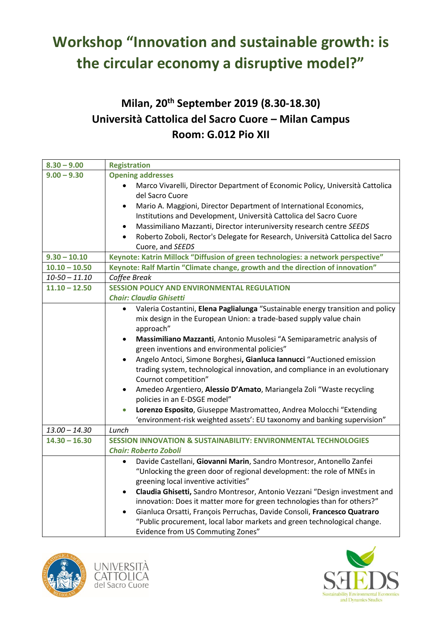# **Workshop "Innovation and sustainable growth: is the circular economy a disruptive model?"**

## **Milan, 20th September 2019 (8.30-18.30) Università Cattolica del Sacro Cuore – Milan Campus Room: G.012 Pio XII**

| $8.30 - 9.00$     | <b>Registration</b>                                                                          |  |  |
|-------------------|----------------------------------------------------------------------------------------------|--|--|
| $9.00 - 9.30$     | <b>Opening addresses</b>                                                                     |  |  |
|                   | Marco Vivarelli, Director Department of Economic Policy, Università Cattolica                |  |  |
|                   | del Sacro Cuore                                                                              |  |  |
|                   | Mario A. Maggioni, Director Department of International Economics,<br>$\bullet$              |  |  |
|                   | Institutions and Development, Università Cattolica del Sacro Cuore                           |  |  |
|                   | Massimiliano Mazzanti, Director interuniversity research centre SEEDS<br>$\bullet$           |  |  |
|                   | Roberto Zoboli, Rector's Delegate for Research, Università Cattolica del Sacro<br>$\bullet$  |  |  |
|                   | Cuore, and SEEDS                                                                             |  |  |
| $9.30 - 10.10$    | Keynote: Katrin Millock "Diffusion of green technologies: a network perspective"             |  |  |
| $10.10 - 10.50$   | Keynote: Ralf Martin "Climate change, growth and the direction of innovation"                |  |  |
| $10 - 50 - 11.10$ | Coffee Break                                                                                 |  |  |
| $11.10 - 12.50$   | <b>SESSION POLICY AND ENVIRONMENTAL REGULATION</b>                                           |  |  |
|                   | <b>Chair: Claudia Ghisetti</b>                                                               |  |  |
|                   | Valeria Costantini, Elena Paglialunga "Sustainable energy transition and policy<br>$\bullet$ |  |  |
|                   | mix design in the European Union: a trade-based supply value chain                           |  |  |
|                   | approach"                                                                                    |  |  |
|                   | Massimiliano Mazzanti, Antonio Musolesi "A Semiparametric analysis of<br>$\bullet$           |  |  |
|                   | green inventions and environmental policies"                                                 |  |  |
|                   | Angelo Antoci, Simone Borghesi, Gianluca Iannucci "Auctioned emission                        |  |  |
|                   | trading system, technological innovation, and compliance in an evolutionary                  |  |  |
|                   | Cournot competition"                                                                         |  |  |
|                   | Amedeo Argentiero, Alessio D'Amato, Mariangela Zoli "Waste recycling<br>$\bullet$            |  |  |
|                   | policies in an E-DSGE model"                                                                 |  |  |
|                   | Lorenzo Esposito, Giuseppe Mastromatteo, Andrea Molocchi "Extending<br>$\bullet$             |  |  |
|                   | 'environment-risk weighted assets': EU taxonomy and banking supervision"                     |  |  |
| $13.00 - 14.30$   | Lunch                                                                                        |  |  |
| $14.30 - 16.30$   | <b>SESSION INNOVATION &amp; SUSTAINABILITY: ENVIRONMENTAL TECHNOLOGIES</b>                   |  |  |
|                   | <b>Chair: Roberto Zoboli</b>                                                                 |  |  |
|                   | Davide Castellani, Giovanni Marin, Sandro Montresor, Antonello Zanfei<br>$\bullet$           |  |  |
|                   | "Unlocking the green door of regional development: the role of MNEs in                       |  |  |
|                   | greening local inventive activities"                                                         |  |  |
|                   | Claudia Ghisetti, Sandro Montresor, Antonio Vezzani "Design investment and<br>$\bullet$      |  |  |
|                   | innovation: Does it matter more for green technologies than for others?"                     |  |  |
|                   | Gianluca Orsatti, François Perruchas, Davide Consoli, Francesco Quatraro                     |  |  |
|                   | "Public procurement, local labor markets and green technological change.                     |  |  |
|                   | Evidence from US Commuting Zones"                                                            |  |  |





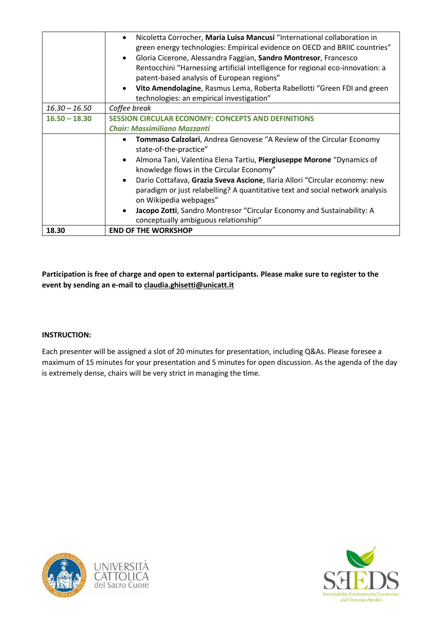|                 | Nicoletta Corrocher, Maria Luisa Mancusi "International collaboration in<br>$\bullet$                              |  |
|-----------------|--------------------------------------------------------------------------------------------------------------------|--|
|                 | green energy technologies: Empirical evidence on OECD and BRIIC countries"                                         |  |
|                 | Gloria Cicerone, Alessandra Faggian, Sandro Montresor, Francesco                                                   |  |
|                 | Rentocchini "Harnessing artificial intelligence for regional eco-innovation: a                                     |  |
|                 | patent-based analysis of European regions"                                                                         |  |
|                 | Vito Amendolagine, Rasmus Lema, Roberta Rabellotti "Green FDI and green                                            |  |
|                 | technologies: an empirical investigation"                                                                          |  |
| $16.30 - 16.50$ | Coffee break                                                                                                       |  |
| $16.50 - 18.30$ | <b>SESSION CIRCULAR ECONOMY: CONCEPTS AND DEFINITIONS</b>                                                          |  |
|                 | <b>Chair: Massimiliano Mazzanti</b>                                                                                |  |
|                 | <b>Tommaso Calzolari, Andrea Genovese "A Review of the Circular Economy</b><br>$\bullet$<br>state-of-the-practice" |  |
|                 | Almona Tani, Valentina Elena Tartiu, Piergiuseppe Morone "Dynamics of<br>$\bullet$                                 |  |
|                 | knowledge flows in the Circular Economy"                                                                           |  |
|                 | Dario Cottafava, Grazia Sveva Ascione, Ilaria Allori "Circular economy: new<br>$\bullet$                           |  |
|                 | paradigm or just relabelling? A quantitative text and social network analysis                                      |  |
|                 | on Wikipedia webpages"                                                                                             |  |
|                 | Jacopo Zotti, Sandro Montresor "Circular Economy and Sustainability: A<br>$\bullet$                                |  |
|                 | conceptually ambiguous relationship"                                                                               |  |
| 18.30           | <b>END OF THE WORKSHOP</b>                                                                                         |  |

**Participation is free of charge and open to external participants. Please make sure to register to the event by sending an e-mail to claudia.ghisetti@unicatt.it**

#### **INSTRUCTION:**

Each presenter will be assigned a slot of 20 minutes for presentation, including Q&As. Please foresee a maximum of 15 minutes for your presentation and 5 minutes for open discussion. As the agenda of the day is extremely dense, chairs will be very strict in managing the time.



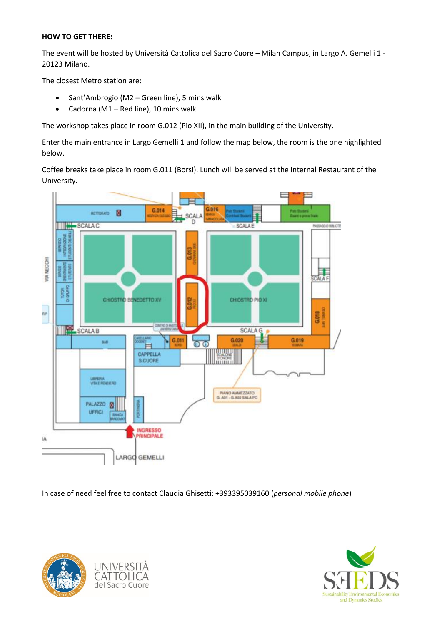### **HOW TO GET THERE:**

The event will be hosted by Università Cattolica del Sacro Cuore – Milan Campus, in Largo A. Gemelli 1 - 20123 Milano.

The closest Metro station are:

- Sant'Ambrogio (M2 Green line), 5 mins walk
- Cadorna (M1 Red line), 10 mins walk

The workshop takes place in room G.012 (Pio XII), in the main building of the University.

Enter the main entrance in Largo Gemelli 1 and follow the map below, the room is the one highlighted below.

Coffee breaks take place in room G.011 (Borsi). Lunch will be served at the internal Restaurant of the University.



In case of need feel free to contact Claudia Ghisetti: +393395039160 (*personal mobile phone*)